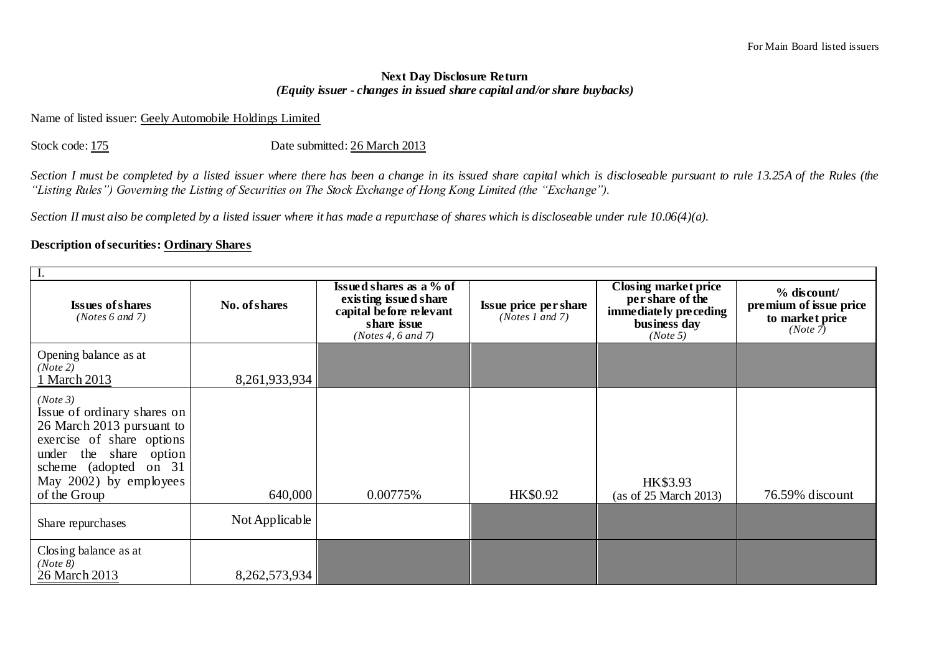## **Next Day Disclosure Return**  *(Equity issuer - changes in issued share capital and/or share buybacks)*

## Name of listed issuer: Geely Automobile Holdings Limited

Stock code: 175 Date submitted: 26 March 2013

*Section I must be completed by a listed issuer where there has been a change in its issued share capital which is discloseable pursuant to rule 13.25A of the Rules (the "Listing Rules") Governing the Listing of Securities on The Stock Exchange of Hong Kong Limited (the "Exchange").*

*Section II must also be completed by a listed issuer where it has made a repurchase of shares which is discloseable under rule 10.06(4)(a).*

## **Description of securities: Ordinary Shares**

| <b>Issues of shares</b><br>(Notes 6 and 7)                                                                                                                                                     | No. of shares    | <b>Issued shares as a</b> % of<br>existing issued share<br>capital before relevant<br>share issue<br>(Notes 4, 6 and 7) | Issue price per share<br>(Notes 1 and 7) | Closing market price<br>per share of the<br>immediately preceding<br>business day<br>(Note 5) | $%$ discount/<br>premium of issue price<br>to market price<br>(Note 7) |  |  |  |  |
|------------------------------------------------------------------------------------------------------------------------------------------------------------------------------------------------|------------------|-------------------------------------------------------------------------------------------------------------------------|------------------------------------------|-----------------------------------------------------------------------------------------------|------------------------------------------------------------------------|--|--|--|--|
| Opening balance as at<br>(Note 2)<br>March 2013                                                                                                                                                | 8, 261, 933, 934 |                                                                                                                         |                                          |                                                                                               |                                                                        |  |  |  |  |
| (Note 3)<br>Issue of ordinary shares on<br>26 March 2013 pursuant to<br>exercise of share options<br>under the share option<br>scheme (adopted on 31<br>May 2002) by employees<br>of the Group | 640,000          | 0.00775%                                                                                                                | HK\$0.92                                 | HK\$3.93<br>(as of 25 March 2013)                                                             | 76.59% discount                                                        |  |  |  |  |
| Share repurchases                                                                                                                                                                              | Not Applicable   |                                                                                                                         |                                          |                                                                                               |                                                                        |  |  |  |  |
| Closing balance as at<br>(Note 8)<br>26 March 2013                                                                                                                                             | 8,262,573,934    |                                                                                                                         |                                          |                                                                                               |                                                                        |  |  |  |  |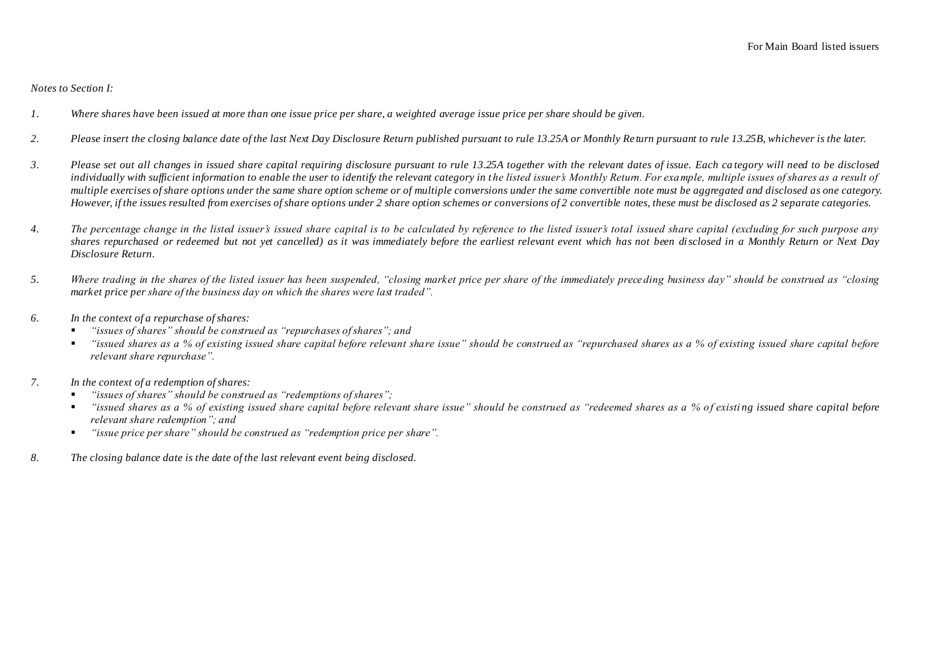*Notes to Section I:*

- *1. Where shares have been issued at more than one issue price per share, a weighted average issue price per share should be given.*
- *2. Please insert the closing balance date of the last Next Day Disclosure Return published pursuant to rule 13.25A or Monthly Re turn pursuant to rule 13.25B, whichever is the later.*
- *3. Please set out all changes in issued share capital requiring disclosure pursuant to rule 13.25A together with the relevant dates of issue. Each ca tegory will need to be disclosed*  individually with sufficient information to enable the user to identify the relevant category in the listed issuer's Monthly Return. For example, multiple issues of shares as a result of *multiple exercises of share options under the same share option scheme or of multiple conversions under the same convertible note must be aggregated and disclosed as one category. However, if the issues resulted from exercises of share options under 2 share option schemes or conversions of 2 convertible notes, these must be disclosed as 2 separate categories.*
- *4. The percentage change in the listed issuer's issued share capital is to be calculated by reference to the listed issuer's total issued share capital (excluding for such purpose any shares repurchased or redeemed but not yet cancelled) as it was immediately before the earliest relevant event which has not been disclosed in a Monthly Return or Next Day Disclosure Return.*
- *5. Where trading in the shares of the listed issuer has been suspended, "closing market price per share of the immediately prece ding business day" should be construed as "closing market price per share of the business day on which the shares were last traded".*
- *6. In the context of a repurchase of shares:*
	- *"issues of shares" should be construed as "repurchases of shares"; and*
	- *"issued shares as a % of existing issued share capital before relevant share issue" should be construed as "repurchased shares as a % of existing issued share capital before relevant share repurchase".*
- *7. In the context of a redemption of shares:*
	- *"issues of shares" should be construed as "redemptions of shares";*
	- *"issued shares as a % of existing issued share capital before relevant share issue" should be construed as "redeemed shares as a % of existi ng issued share capital before relevant share redemption"; and*
	- *"issue price per share" should be construed as "redemption price per share".*
- *8. The closing balance date is the date of the last relevant event being disclosed.*